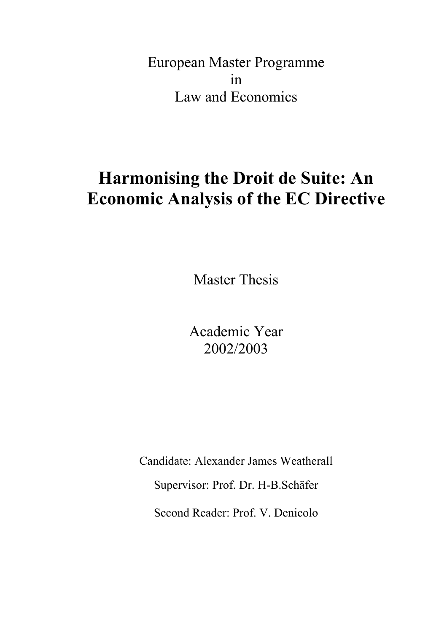European Master Programme in Law and Economics

# **Harmonising the Droit de Suite: An Economic Analysis of the EC Directive**

Master Thesis

Academic Year 2002/2003

Candidate: Alexander James Weatherall Supervisor: Prof. Dr. H-B.Schäfer Second Reader: Prof. V. Denicolo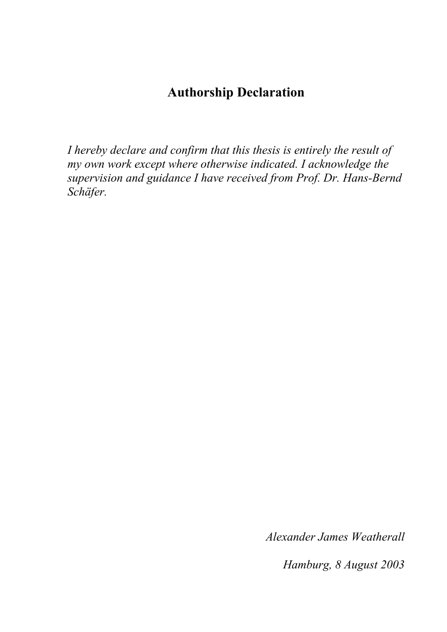# **Authorship Declaration**

*I hereby declare and confirm that this thesis is entirely the result of my own work except where otherwise indicated. I acknowledge the supervision and guidance I have received from Prof. Dr. Hans-Bernd Schäfer.* 

*Alexander James Weatherall* 

*Hamburg, 8 August 2003*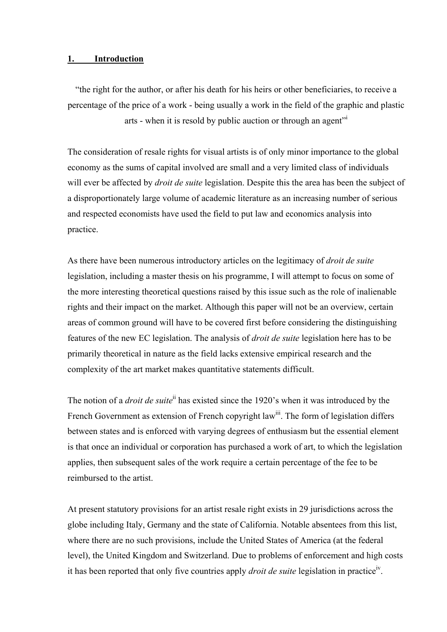#### **1. Introduction**

"the right for the author, or after his death for his heirs or other beneficiaries, to receive a percentage of the price of a work - being usually a work in the field of the graphic and plastic arts - when [i](#page-39-0)t is resold by public auction or through an agent<sup>"*i*</sup>

The consideration of resale rights for visual artists is of only minor importance to the global economy as the sums of capital involved are small and a very limited class of individuals will ever be affected by *droit de suite* legislation. Despite this the area has been the subject of a disproportionately large volume of academic literature as an increasing number of serious and respected economists have used the field to put law and economics analysis into practice.

As there have been numerous introductory articles on the legitimacy of *droit de suite* legislation, including a master thesis on his programme, I will attempt to focus on some of the more interesting theoretical questions raised by this issue such as the role of inalienable rights and their impact on the market. Although this paper will not be an overview, certain areas of common ground will have to be covered first before considering the distinguishing features of the new EC legislation. The analysis of *droit de suite* legislation here has to be primarily theoretical in nature as the field lacks extensive empirical research and the complexity of the art market makes quantitative statements difficult.

The notion of a *droit de suite*[ii](#page-39-1) has existed since the 1920's when it was introduced by the French Government as extension of French copyright law<sup>iii</sup>. The form of legislation differs between states and is enforced with varying degrees of enthusiasm but the essential element is that once an individual or corporation has purchased a work of art, to which the legislation applies, then subsequent sales of the work require a certain percentage of the fee to be reimbursed to the artist.

At present statutory provisions for an artist resale right exists in 29 jurisdictions across the globe including Italy, Germany and the state of California. Notable absentees from this list, where there are no such provisions, include the United States of America (at the federal level), the United Kingdom and Switzerland. Due to problems of enforcement and high costs it has been reported that only five countries apply *droit de suite* legislation in practice[iv.](#page-39-3)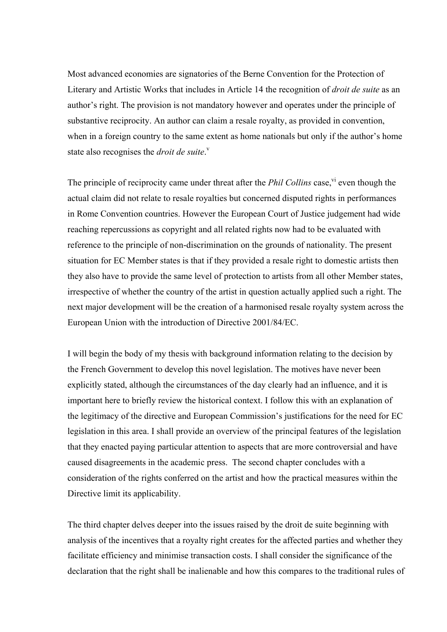Most advanced economies are signatories of the Berne Convention for the Protection of Literary and Artistic Works that includes in Article 14 the recognition of *droit de suite* as an author's right. The provision is not mandatory however and operates under the principle of substantive reciprocity. An author can claim a resale royalty, as provided in convention, when in a foreign country to the same extent as home nationals but only if the author's home state also recognises the *droit de suite*.<sup>[v](#page-39-4)</sup>

The principle of reciprocity came under threat after the *Phil Collins* case,<sup>vi</sup> even though the actual claim did not relate to resale royalties but concerned disputed rights in performances in Rome Convention countries. However the European Court of Justice judgement had wide reaching repercussions as copyright and all related rights now had to be evaluated with reference to the principle of non-discrimination on the grounds of nationality. The present situation for EC Member states is that if they provided a resale right to domestic artists then they also have to provide the same level of protection to artists from all other Member states, irrespective of whether the country of the artist in question actually applied such a right. The next major development will be the creation of a harmonised resale royalty system across the European Union with the introduction of Directive 2001/84/EC.

I will begin the body of my thesis with background information relating to the decision by the French Government to develop this novel legislation. The motives have never been explicitly stated, although the circumstances of the day clearly had an influence, and it is important here to briefly review the historical context. I follow this with an explanation of the legitimacy of the directive and European Commission's justifications for the need for EC legislation in this area. I shall provide an overview of the principal features of the legislation that they enacted paying particular attention to aspects that are more controversial and have caused disagreements in the academic press. The second chapter concludes with a consideration of the rights conferred on the artist and how the practical measures within the Directive limit its applicability.

The third chapter delves deeper into the issues raised by the droit de suite beginning with analysis of the incentives that a royalty right creates for the affected parties and whether they facilitate efficiency and minimise transaction costs. I shall consider the significance of the declaration that the right shall be inalienable and how this compares to the traditional rules of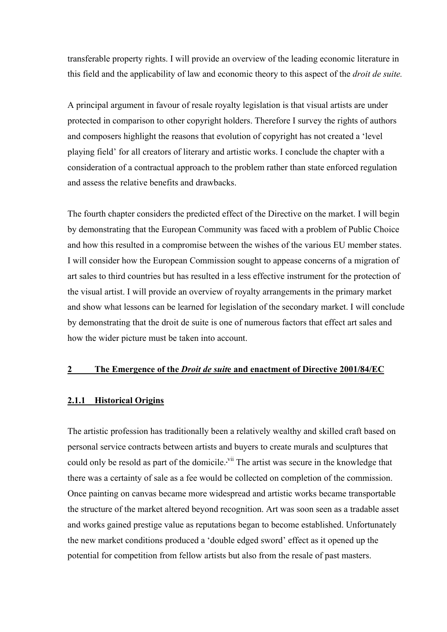transferable property rights. I will provide an overview of the leading economic literature in this field and the applicability of law and economic theory to this aspect of the *droit de suite.*

A principal argument in favour of resale royalty legislation is that visual artists are under protected in comparison to other copyright holders. Therefore I survey the rights of authors and composers highlight the reasons that evolution of copyright has not created a 'level playing field' for all creators of literary and artistic works. I conclude the chapter with a consideration of a contractual approach to the problem rather than state enforced regulation and assess the relative benefits and drawbacks.

The fourth chapter considers the predicted effect of the Directive on the market. I will begin by demonstrating that the European Community was faced with a problem of Public Choice and how this resulted in a compromise between the wishes of the various EU member states. I will consider how the European Commission sought to appease concerns of a migration of art sales to third countries but has resulted in a less effective instrument for the protection of the visual artist. I will provide an overview of royalty arrangements in the primary market and show what lessons can be learned for legislation of the secondary market. I will conclude by demonstrating that the droit de suite is one of numerous factors that effect art sales and how the wider picture must be taken into account.

# **2 The Emergence of the** *Droit de suit***e and enactment of Directive 2001/84/EC**

#### **2.1.1 Historical Origins**

The artistic profession has traditionally been a relatively wealthy and skilled craft based on personal service contracts between artists and buyers to create murals and sculptures that could only be resold as part of the domicile. <sup>vii</sup> The artist was secure in the knowledge that there was a certainty of sale as a fee would be collected on completion of the commission. Once painting on canvas became more widespread and artistic works became transportable the structure of the market altered beyond recognition. Art was soon seen as a tradable asset and works gained prestige value as reputations began to become established. Unfortunately the new market conditions produced a 'double edged sword' effect as it opened up the potential for competition from fellow artists but also from the resale of past masters.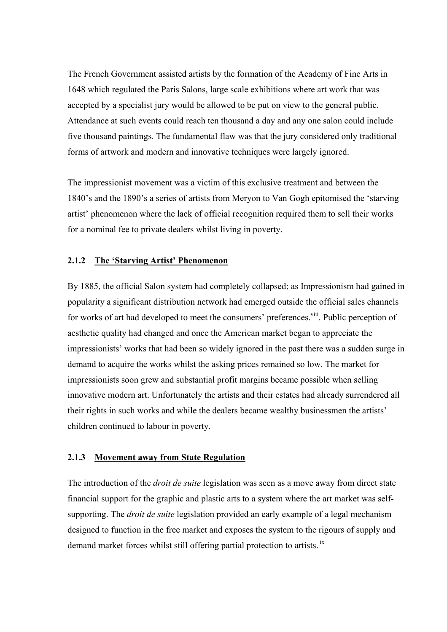The French Government assisted artists by the formation of the Academy of Fine Arts in 1648 which regulated the Paris Salons, large scale exhibitions where art work that was accepted by a specialist jury would be allowed to be put on view to the general public. Attendance at such events could reach ten thousand a day and any one salon could include five thousand paintings. The fundamental flaw was that the jury considered only traditional forms of artwork and modern and innovative techniques were largely ignored.

The impressionist movement was a victim of this exclusive treatment and between the 1840's and the 1890's a series of artists from Meryon to Van Gogh epitomised the 'starving artist' phenomenon where the lack of official recognition required them to sell their works for a nominal fee to private dealers whilst living in poverty.

# **2.1.2 The 'Starving Artist' Phenomenon**

By 1885, the official Salon system had completely collapsed; as Impressionism had gained in popularity a significant distribution network had emerged outside the official sales channels for works of art had developed to meet the consumers' preferences.<sup>viii</sup>. Public perception of aesthetic quality had changed and once the American market began to appreciate the impressionists' works that had been so widely ignored in the past there was a sudden surge in demand to acquire the works whilst the asking prices remained so low. The market for impressionists soon grew and substantial profit margins became possible when selling innovative modern art. Unfortunately the artists and their estates had already surrendered all their rights in such works and while the dealers became wealthy businessmen the artists' children continued to labour in poverty.

# **2.1.3 Movement away from State Regulation**

The introduction of the *droit de suite* legislation was seen as a move away from direct state financial support for the graphic and plastic arts to a system where the art market was selfsupporting. The *droit de suite* legislation provided an early example of a legal mechanism designed to function in the free market and exposes the system to the rigours of supply and demand market forces whilst still offering partial protection to artists. [ix](#page-39-8)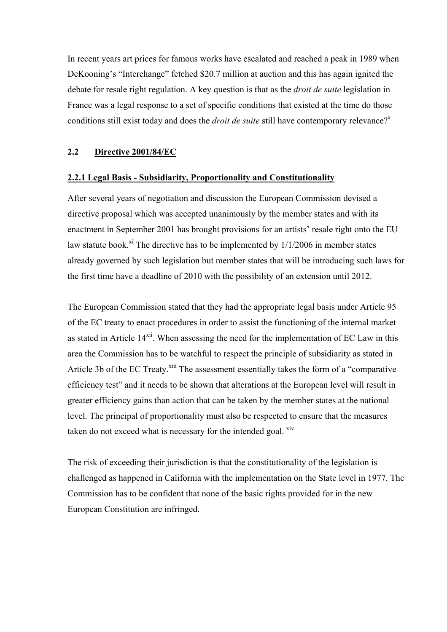In recent years art prices for famous works have escalated and reached a peak in 1989 when DeKooning's "Interchange" fetched \$20.7 million at auction and this has again ignited the debate for resale right regulation. A key question is that as the *droit de suite* legislation in France was a legal response to a set of specific conditions that existed at the time do those conditions still e[x](#page-39-9)ist today and does the *droit de suite* still have contemporary relevance?<sup>x</sup>

# **2.2 Directive 2001/84/EC**

# **2.2.1 Legal Basis - Subsidiarity, Proportionality and Constitutionality**

After several years of negotiation and discussion the European Commission devised a directive proposal which was accepted unanimously by the member states and with its enactment in September 2001 has brought provisions for an artists' resale right onto the EU law statute book.<sup>xi</sup> The directive has to be implemented by  $1/1/2006$  in member states already governed by such legislation but member states that will be introducing such laws for the first time have a deadline of 2010 with the possibility of an extension until 2012.

The European Commission stated that they had the appropriate legal basis under Article 95 of the EC treaty to enact procedures in order to assist the functioning of the internal market as stated in Article 14<sup>xii</sup>. When assessing the need for the implementation of EC Law in this area the Commission has to be watchful to respect the principle of subsidiarity as stated in Article 3b of the EC Treaty.<sup>xiii</sup> The assessment essentially takes the form of a "comparative" efficiency test" and it needs to be shown that alterations at the European level will result in greater efficiency gains than action that can be taken by the member states at the national level. The principal of proportionality must also be respected to ensure that the measures taken do not exceed what is necessary for the intended goal. <sup>xiv</sup>

The risk of exceeding their jurisdiction is that the constitutionality of the legislation is challenged as happened in California with the implementation on the State level in 1977. The Commission has to be confident that none of the basic rights provided for in the new European Constitution are infringed.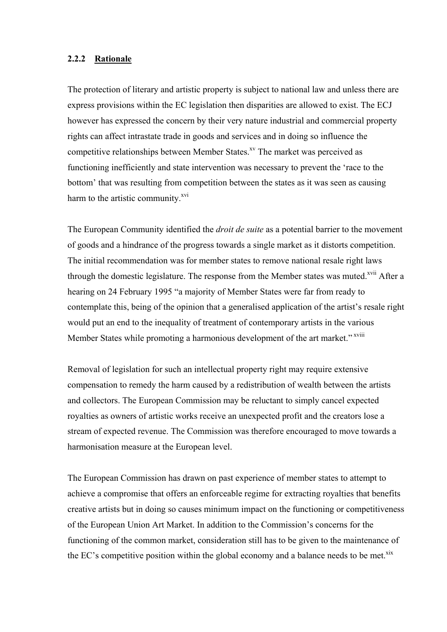# **2.2.2 Rationale**

The protection of literary and artistic property is subject to national law and unless there are express provisions within the EC legislation then disparities are allowed to exist. The ECJ however has expressed the concern by their very nature industrial and commercial property rights can affect intrastate trade in goods and services and in doing so influence the competitive relationships between Member States.<sup>xv</sup> The market was perceived as functioning inefficiently and state intervention was necessary to prevent the 'race to the bottom' that was resulting from competition between the states as it was seen as causing harm to the artistic community.<sup>xvi</sup>

The European Community identified the *droit de suite* as a potential barrier to the movement of goods and a hindrance of the progress towards a single market as it distorts competition. The initial recommendation was for member states to remove national resale right laws through the domestic legislature. The response from the Member states was muted.<sup>xvii</sup> After a hearing on 24 February 1995 "a majority of Member States were far from ready to contemplate this, being of the opinion that a generalised application of the artist's resale right would put an end to the inequality of treatment of contemporary artists in the various Member States while promoting a harmonious development of the art market." xviii

Removal of legislation for such an intellectual property right may require extensive compensation to remedy the harm caused by a redistribution of wealth between the artists and collectors. The European Commission may be reluctant to simply cancel expected royalties as owners of artistic works receive an unexpected profit and the creators lose a stream of expected revenue. The Commission was therefore encouraged to move towards a harmonisation measure at the European level.

The European Commission has drawn on past experience of member states to attempt to achieve a compromise that offers an enforceable regime for extracting royalties that benefits creative artists but in doing so causes minimum impact on the functioning or competitiveness of the European Union Art Market. In addition to the Commission's concerns for the functioning of the common market, consideration still has to be given to the maintenance of the EC's competitive position within the global economy and a balance needs to be met. $\frac{xx}{x}$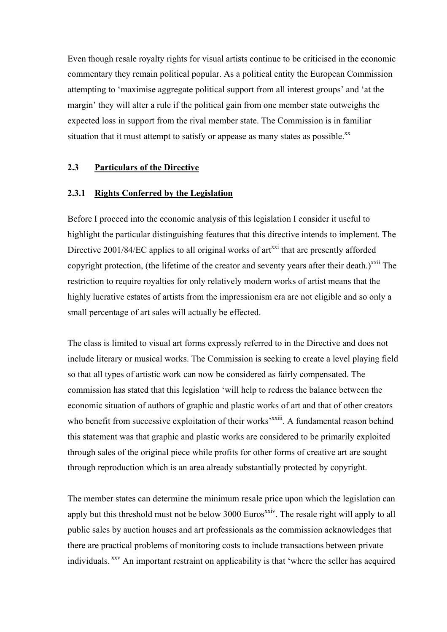Even though resale royalty rights for visual artists continue to be criticised in the economic commentary they remain political popular. As a political entity the European Commission attempting to 'maximise aggregate political support from all interest groups' and 'at the margin' they will alter a rule if the political gain from one member state outweighs the expected loss in support from the rival member state. The Commission is in familiar situation that it must attempt to satisfy or appease as many states as possible. $^{xx}$  $^{xx}$  $^{xx}$ 

# **2.3 Particulars of the Directive**

# **2.3.1 Rights Conferred by the Legislation**

Before I proceed into the economic analysis of this legislation I consider it useful to highlight the particular distinguishing features that this directive intends to implement. The Directive  $2001/84/EC$  applies to all original works of art<sup>xxi</sup> that are presently afforded copyright protection, (the lifetime of the creator and seventy years after their death.)<sup> $xxi$ i</sup> The restriction to require royalties for only relatively modern works of artist means that the highly lucrative estates of artists from the impressionism era are not eligible and so only a small percentage of art sales will actually be effected.

The class is limited to visual art forms expressly referred to in the Directive and does not include literary or musical works. The Commission is seeking to create a level playing field so that all types of artistic work can now be considered as fairly compensated. The commission has stated that this legislation 'will help to redress the balance between the economic situation of authors of graphic and plastic works of art and that of other creators who benefit from successive exploitation of their works<sup>, xxiii</sup>. A fundamental reason behind this statement was that graphic and plastic works are considered to be primarily exploited through sales of the original piece while profits for other forms of creative art are sought through reproduction which is an area already substantially protected by copyright.

The member states can determine the minimum resale price upon which the legislation can apply but this threshold must not be below 3000 Euros<sup>xxiv</sup>. The resale right will apply to all public sales by auction houses and art professionals as the commission acknowledges that there are practical problems of monitoring costs to include transactions between private individuals.  $^{xxv}$  An important restraint on applicability is that 'where the seller has acquired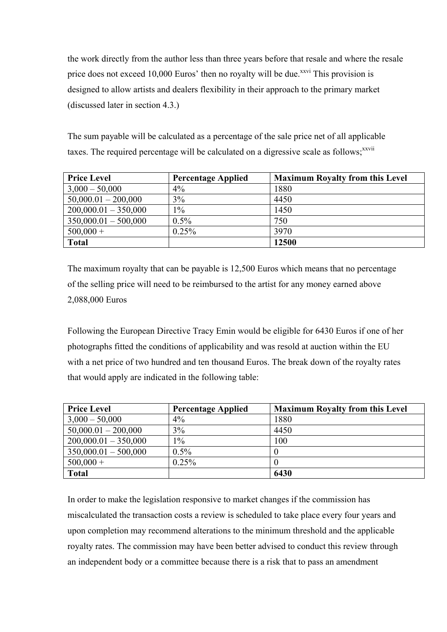the work directly from the author less than three years before that resale and where the resale price does not exceed 10,000 Euros' then no royalty will be due.<sup>xxvi</sup> This provision is designed to allow artists and dealers flexibility in their approach to the primary market (discussed later in section 4.3.)

The sum payable will be calculated as a percentage of the sale price net of all applicable taxes. The required percentage will be calculated on a digressive scale as follows;<sup>[xxvii](#page-39-4)</sup>

| <b>Price Level</b>     | <b>Percentage Applied</b> | <b>Maximum Royalty from this Level</b> |
|------------------------|---------------------------|----------------------------------------|
| $3,000 - 50,000$       | $4\%$                     | 1880                                   |
| $50,000.01 - 200,000$  | 3%                        | 4450                                   |
| $200,000.01 - 350,000$ | $1\%$                     | 1450                                   |
| $350,000.01 - 500,000$ | $0.5\%$                   | 750                                    |
| $500,000 +$            | $0.25\%$                  | 3970                                   |
| <b>Total</b>           |                           | 12500                                  |

The maximum royalty that can be payable is 12,500 Euros which means that no percentage of the selling price will need to be reimbursed to the artist for any money earned above 2,088,000 Euros

Following the European Directive Tracy Emin would be eligible for 6430 Euros if one of her photographs fitted the conditions of applicability and was resold at auction within the EU with a net price of two hundred and ten thousand Euros. The break down of the royalty rates that would apply are indicated in the following table:

| <b>Price Level</b>     | <b>Percentage Applied</b> | <b>Maximum Royalty from this Level</b> |
|------------------------|---------------------------|----------------------------------------|
| $3,000 - 50,000$       | $4\%$                     | 1880                                   |
| $50,000.01 - 200,000$  | 3%                        | 4450                                   |
| $200,000.01 - 350,000$ | $1\%$                     | 100                                    |
| $350,000.01 - 500,000$ | $0.5\%$                   |                                        |
| $500,000 +$            | $0.25\%$                  |                                        |
| <b>Total</b>           |                           | 6430                                   |

In order to make the legislation responsive to market changes if the commission has miscalculated the transaction costs a review is scheduled to take place every four years and upon completion may recommend alterations to the minimum threshold and the applicable royalty rates. The commission may have been better advised to conduct this review through an independent body or a committee because there is a risk that to pass an amendment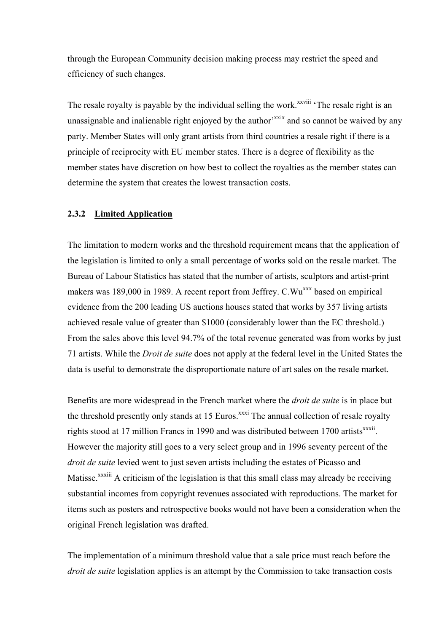through the European Community decision making process may restrict the speed and efficiency of such changes.

The resale royalty is payable by the individual selling the work.<sup>xxviii</sup> 'The resale right is an unassignable and inalienable right enjoyed by the author<sup>'xxix</sup> and so cannot be waived by any party. Member States will only grant artists from third countries a resale right if there is a principle of reciprocity with EU member states. There is a degree of flexibility as the member states have discretion on how best to collect the royalties as the member states can determine the system that creates the lowest transaction costs.

# **2.3.2 Limited Application**

The limitation to modern works and the threshold requirement means that the application of the legislation is limited to only a small percentage of works sold on the resale market. The Bureau of Labour Statistics has stated that the number of artists, sculptors and artist-print makers was 189,000 in 1989. A recent report from Jeffrey. C.Wu<sup>xxx</sup> based on empirical evidence from the 200 leading US auctions houses stated that works by 357 living artists achieved resale value of greater than \$1000 (considerably lower than the EC threshold.) From the sales above this level 94.7% of the total revenue generated was from works by just 71 artists. While the *Droit de suite* does not apply at the federal level in the United States the data is useful to demonstrate the disproportionate nature of art sales on the resale market.

Benefits are more widespread in the French market where the *droit de suite* is in place but the threshold presently only stands at 15 Euros.<sup>xxxi</sup> The annual collection of resale royalty rights stood at 17 million Francs in 1990 and was distributed between 1700 artists $x^{xx}$ . However the majority still goes to a very select group and in 1996 seventy percent of the *droit de suite* levied went to just seven artists including the estates of Picasso and Matisse.<sup>xxxiii</sup> A criticism of the legislation is that this small class may already be receiving substantial incomes from copyright revenues associated with reproductions. The market for items such as posters and retrospective books would not have been a consideration when the original French legislation was drafted.

The implementation of a minimum threshold value that a sale price must reach before the *droit de suite* legislation applies is an attempt by the Commission to take transaction costs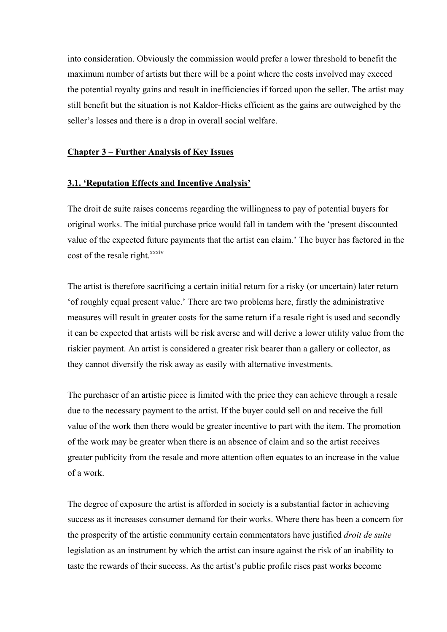into consideration. Obviously the commission would prefer a lower threshold to benefit the maximum number of artists but there will be a point where the costs involved may exceed the potential royalty gains and result in inefficiencies if forced upon the seller. The artist may still benefit but the situation is not Kaldor-Hicks efficient as the gains are outweighed by the seller's losses and there is a drop in overall social welfare.

# **Chapter 3 – Further Analysis of Key Issues**

# **3.1. 'Reputation Effects and Incentive Analysis'**

The droit de suite raises concerns regarding the willingness to pay of potential buyers for original works. The initial purchase price would fall in tandem with the 'present discounted value of the expected future payments that the artist can claim.' The buyer has factored in the cost of the resale right.<sup>[xxxiv](#page-39-28)</sup>

The artist is therefore sacrificing a certain initial return for a risky (or uncertain) later return 'of roughly equal present value.' There are two problems here, firstly the administrative measures will result in greater costs for the same return if a resale right is used and secondly it can be expected that artists will be risk averse and will derive a lower utility value from the riskier payment. An artist is considered a greater risk bearer than a gallery or collector, as they cannot diversify the risk away as easily with alternative investments.

The purchaser of an artistic piece is limited with the price they can achieve through a resale due to the necessary payment to the artist. If the buyer could sell on and receive the full value of the work then there would be greater incentive to part with the item. The promotion of the work may be greater when there is an absence of claim and so the artist receives greater publicity from the resale and more attention often equates to an increase in the value of a work.

The degree of exposure the artist is afforded in society is a substantial factor in achieving success as it increases consumer demand for their works. Where there has been a concern for the prosperity of the artistic community certain commentators have justified *droit de suite* legislation as an instrument by which the artist can insure against the risk of an inability to taste the rewards of their success. As the artist's public profile rises past works become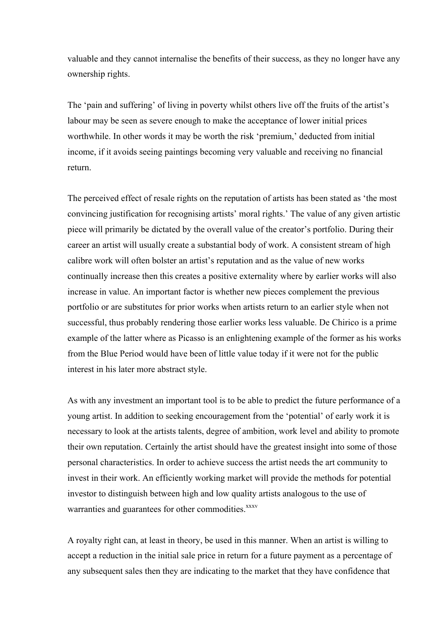valuable and they cannot internalise the benefits of their success, as they no longer have any ownership rights.

The 'pain and suffering' of living in poverty whilst others live off the fruits of the artist's labour may be seen as severe enough to make the acceptance of lower initial prices worthwhile. In other words it may be worth the risk 'premium,' deducted from initial income, if it avoids seeing paintings becoming very valuable and receiving no financial return.

The perceived effect of resale rights on the reputation of artists has been stated as 'the most convincing justification for recognising artists' moral rights.' The value of any given artistic piece will primarily be dictated by the overall value of the creator's portfolio. During their career an artist will usually create a substantial body of work. A consistent stream of high calibre work will often bolster an artist's reputation and as the value of new works continually increase then this creates a positive externality where by earlier works will also increase in value. An important factor is whether new pieces complement the previous portfolio or are substitutes for prior works when artists return to an earlier style when not successful, thus probably rendering those earlier works less valuable. De Chirico is a prime example of the latter where as Picasso is an enlightening example of the former as his works from the Blue Period would have been of little value today if it were not for the public interest in his later more abstract style.

As with any investment an important tool is to be able to predict the future performance of a young artist. In addition to seeking encouragement from the 'potential' of early work it is necessary to look at the artists talents, degree of ambition, work level and ability to promote their own reputation. Certainly the artist should have the greatest insight into some of those personal characteristics. In order to achieve success the artist needs the art community to invest in their work. An efficiently working market will provide the methods for potential investor to distinguish between high and low quality artists analogous to the use of warranties and guarantees for other commodities.<sup>[xxxv](#page-39-29)</sup>

A royalty right can, at least in theory, be used in this manner. When an artist is willing to accept a reduction in the initial sale price in return for a future payment as a percentage of any subsequent sales then they are indicating to the market that they have confidence that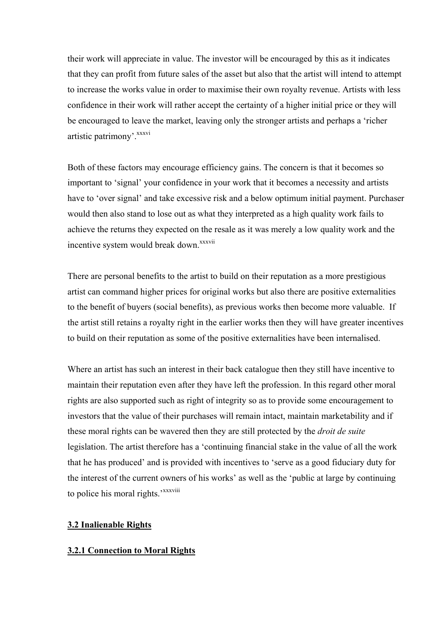their work will appreciate in value. The investor will be encouraged by this as it indicates that they can profit from future sales of the asset but also that the artist will intend to attempt to increase the works value in order to maximise their own royalty revenue. Artists with less confidence in their work will rather accept the certainty of a higher initial price or they will be encouraged to leave the market, leaving only the stronger artists and perhaps a 'richer artistic patrimony'.<sup>xxxvi</sup>

Both of these factors may encourage efficiency gains. The concern is that it becomes so important to 'signal' your confidence in your work that it becomes a necessity and artists have to 'over signal' and take excessive risk and a below optimum initial payment. Purchaser would then also stand to lose out as what they interpreted as a high quality work fails to achieve the returns they expected on the resale as it was merely a low quality work and the incentive system would break down.<sup>[xxxvii](#page-39-30)</sup>

There are personal benefits to the artist to build on their reputation as a more prestigious artist can command higher prices for original works but also there are positive externalities to the benefit of buyers (social benefits), as previous works then become more valuable. If the artist still retains a royalty right in the earlier works then they will have greater incentives to build on their reputation as some of the positive externalities have been internalised.

Where an artist has such an interest in their back catalogue then they still have incentive to maintain their reputation even after they have left the profession. In this regard other moral rights are also supported such as right of integrity so as to provide some encouragement to investors that the value of their purchases will remain intact, maintain marketability and if these moral rights can be wavered then they are still protected by the *droit de suite* legislation. The artist therefore has a 'continuing financial stake in the value of all the work that he has produced' and is provided with incentives to 'serve as a good fiduciary duty for the interest of the current owners of his works' as well as the 'public at large by continuing to police his moral rights.'<sup>[xxxviii](#page-39-31)</sup>

# **3.2 Inalienable Rights**

# **3.2.1 Connection to Moral Rights**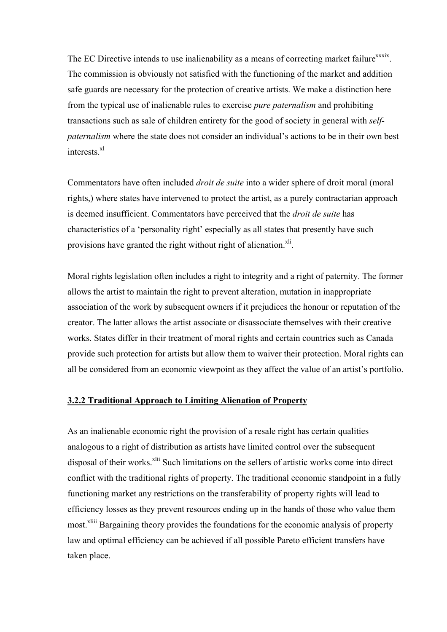The EC Directive intends to use inalienability as a means of correcting market failure<sup>xxxix</sup>. The commission is obviously not satisfied with the functioning of the market and addition safe guards are necessary for the protection of creative artists. We make a distinction here from the typical use of inalienable rules to exercise *pure paternalism* and prohibiting transactions such as sale of children entirety for the good of society in general with *selfpaternalism* where the state does not consider an individual's actions to be in their own best interests.<sup>[xl](#page-39-4)</sup>

Commentators have often included *droit de suite* into a wider sphere of droit moral (moral rights,) where states have intervened to protect the artist, as a purely contractarian approach is deemed insufficient. Commentators have perceived that the *droit de suite* has characteristics of a 'personality right' especially as all states that presently have such provisions have granted the right without right of alienation.<sup>xli</sup>.

Moral rights legislation often includes a right to integrity and a right of paternity. The former allows the artist to maintain the right to prevent alteration, mutation in inappropriate association of the work by subsequent owners if it prejudices the honour or reputation of the creator. The latter allows the artist associate or disassociate themselves with their creative works. States differ in their treatment of moral rights and certain countries such as Canada provide such protection for artists but allow them to waiver their protection. Moral rights can all be considered from an economic viewpoint as they affect the value of an artist's portfolio.

# **3.2.2 Traditional Approach to Limiting Alienation of Property**

As an inalienable economic right the provision of a resale right has certain qualities analogous to a right of distribution as artists have limited control over the subsequent disposal of their works.<sup>xlii</sup> Such limitations on the sellers of artistic works come into direct conflict with the traditional rights of property. The traditional economic standpoint in a fully functioning market any restrictions on the transferability of property rights will lead to efficiency losses as they prevent resources ending up in the hands of those who value them most.<sup>xliii</sup> Bargaining theory provides the foundations for the economic analysis of property law and optimal efficiency can be achieved if all possible Pareto efficient transfers have taken place.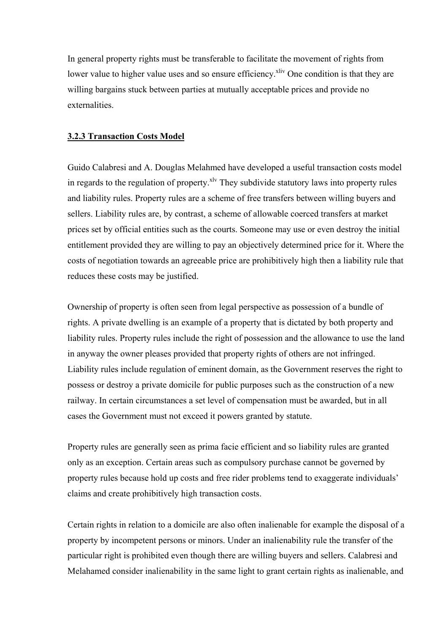In general property rights must be transferable to facilitate the movement of rights from lower value to higher value uses and so ensure efficiency.<sup>xliv</sup> One condition is that they are willing bargains stuck between parties at mutually acceptable prices and provide no externalities.

# **3.2.3 Transaction Costs Model**

Guido Calabresi and A. Douglas Melahmed have developed a useful transaction costs model in regards to the regulation of property.<sup> $x\text{lv}$ </sup> They subdivide statutory laws into property rules and liability rules. Property rules are a scheme of free transfers between willing buyers and sellers. Liability rules are, by contrast, a scheme of allowable coerced transfers at market prices set by official entities such as the courts. Someone may use or even destroy the initial entitlement provided they are willing to pay an objectively determined price for it. Where the costs of negotiation towards an agreeable price are prohibitively high then a liability rule that reduces these costs may be justified.

Ownership of property is often seen from legal perspective as possession of a bundle of rights. A private dwelling is an example of a property that is dictated by both property and liability rules. Property rules include the right of possession and the allowance to use the land in anyway the owner pleases provided that property rights of others are not infringed. Liability rules include regulation of eminent domain, as the Government reserves the right to possess or destroy a private domicile for public purposes such as the construction of a new railway. In certain circumstances a set level of compensation must be awarded, but in all cases the Government must not exceed it powers granted by statute.

Property rules are generally seen as prima facie efficient and so liability rules are granted only as an exception. Certain areas such as compulsory purchase cannot be governed by property rules because hold up costs and free rider problems tend to exaggerate individuals' claims and create prohibitively high transaction costs.

Certain rights in relation to a domicile are also often inalienable for example the disposal of a property by incompetent persons or minors. Under an inalienability rule the transfer of the particular right is prohibited even though there are willing buyers and sellers. Calabresi and Melahamed consider inalienability in the same light to grant certain rights as inalienable, and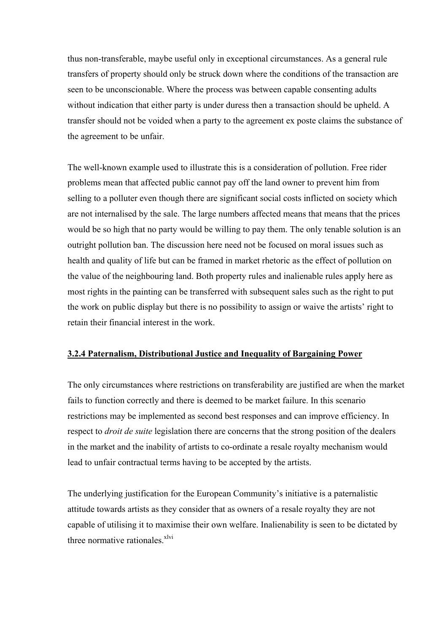thus non-transferable, maybe useful only in exceptional circumstances. As a general rule transfers of property should only be struck down where the conditions of the transaction are seen to be unconscionable. Where the process was between capable consenting adults without indication that either party is under duress then a transaction should be upheld. A transfer should not be voided when a party to the agreement ex poste claims the substance of the agreement to be unfair.

The well-known example used to illustrate this is a consideration of pollution. Free rider problems mean that affected public cannot pay off the land owner to prevent him from selling to a polluter even though there are significant social costs inflicted on society which are not internalised by the sale. The large numbers affected means that means that the prices would be so high that no party would be willing to pay them. The only tenable solution is an outright pollution ban. The discussion here need not be focused on moral issues such as health and quality of life but can be framed in market rhetoric as the effect of pollution on the value of the neighbouring land. Both property rules and inalienable rules apply here as most rights in the painting can be transferred with subsequent sales such as the right to put the work on public display but there is no possibility to assign or waive the artists' right to retain their financial interest in the work.

# **3.2.4 Paternalism, Distributional Justice and Inequality of Bargaining Power**

The only circumstances where restrictions on transferability are justified are when the market fails to function correctly and there is deemed to be market failure. In this scenario restrictions may be implemented as second best responses and can improve efficiency. In respect to *droit de suite* legislation there are concerns that the strong position of the dealers in the market and the inability of artists to co-ordinate a resale royalty mechanism would lead to unfair contractual terms having to be accepted by the artists.

The underlying justification for the European Community's initiative is a paternalistic attitude towards artists as they consider that as owners of a resale royalty they are not capable of utilising it to maximise their own welfare. Inalienability is seen to be dictated by three normative rationales. $x^{\text{1vi}}$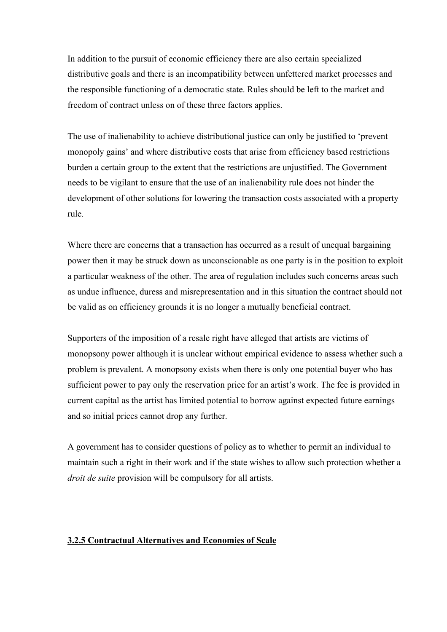In addition to the pursuit of economic efficiency there are also certain specialized distributive goals and there is an incompatibility between unfettered market processes and the responsible functioning of a democratic state. Rules should be left to the market and freedom of contract unless on of these three factors applies.

The use of inalienability to achieve distributional justice can only be justified to 'prevent monopoly gains' and where distributive costs that arise from efficiency based restrictions burden a certain group to the extent that the restrictions are unjustified. The Government needs to be vigilant to ensure that the use of an inalienability rule does not hinder the development of other solutions for lowering the transaction costs associated with a property rule.

Where there are concerns that a transaction has occurred as a result of unequal bargaining power then it may be struck down as unconscionable as one party is in the position to exploit a particular weakness of the other. The area of regulation includes such concerns areas such as undue influence, duress and misrepresentation and in this situation the contract should not be valid as on efficiency grounds it is no longer a mutually beneficial contract.

Supporters of the imposition of a resale right have alleged that artists are victims of monopsony power although it is unclear without empirical evidence to assess whether such a problem is prevalent. A monopsony exists when there is only one potential buyer who has sufficient power to pay only the reservation price for an artist's work. The fee is provided in current capital as the artist has limited potential to borrow against expected future earnings and so initial prices cannot drop any further.

A government has to consider questions of policy as to whether to permit an individual to maintain such a right in their work and if the state wishes to allow such protection whether a *droit de suite* provision will be compulsory for all artists.

# **3.2.5 Contractual Alternatives and Economies of Scale**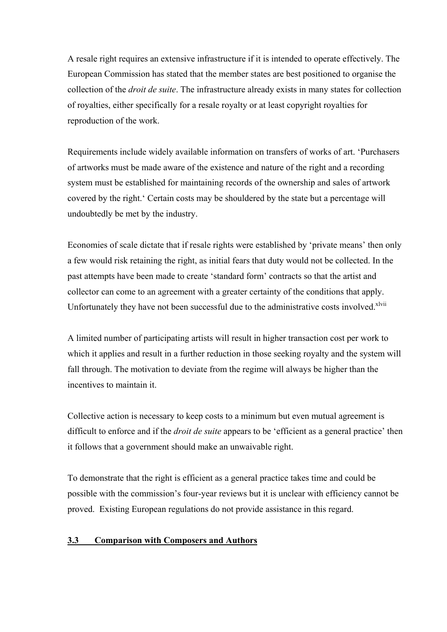A resale right requires an extensive infrastructure if it is intended to operate effectively. The European Commission has stated that the member states are best positioned to organise the collection of the *droit de suite*. The infrastructure already exists in many states for collection of royalties, either specifically for a resale royalty or at least copyright royalties for reproduction of the work.

Requirements include widely available information on transfers of works of art. 'Purchasers of artworks must be made aware of the existence and nature of the right and a recording system must be established for maintaining records of the ownership and sales of artwork covered by the right.' Certain costs may be shouldered by the state but a percentage will undoubtedly be met by the industry.

Economies of scale dictate that if resale rights were established by 'private means' then only a few would risk retaining the right, as initial fears that duty would not be collected. In the past attempts have been made to create 'standard form' contracts so that the artist and collector can come to an agreement with a greater certainty of the conditions that apply. Unfortunately they have not been successful due to the administrative costs involved.<sup>[xlvii](#page-39-33)</sup>

A limited number of participating artists will result in higher transaction cost per work to which it applies and result in a further reduction in those seeking royalty and the system will fall through. The motivation to deviate from the regime will always be higher than the incentives to maintain it.

Collective action is necessary to keep costs to a minimum but even mutual agreement is difficult to enforce and if the *droit de suite* appears to be 'efficient as a general practice' then it follows that a government should make an unwaivable right.

To demonstrate that the right is efficient as a general practice takes time and could be possible with the commission's four-year reviews but it is unclear with efficiency cannot be proved. Existing European regulations do not provide assistance in this regard.

# **3.3 Comparison with Composers and Authors**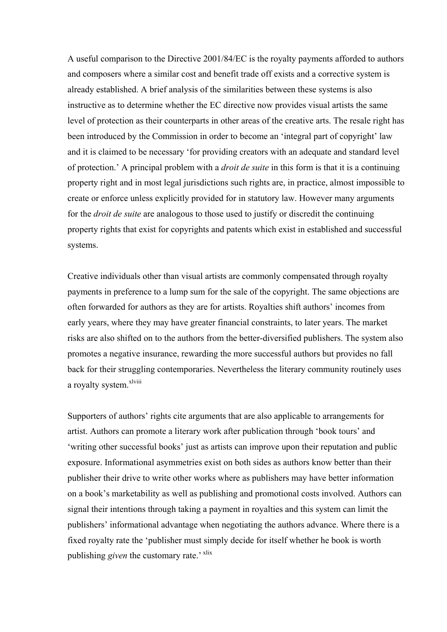A useful comparison to the Directive 2001/84/EC is the royalty payments afforded to authors and composers where a similar cost and benefit trade off exists and a corrective system is already established. A brief analysis of the similarities between these systems is also instructive as to determine whether the EC directive now provides visual artists the same level of protection as their counterparts in other areas of the creative arts. The resale right has been introduced by the Commission in order to become an 'integral part of copyright' law and it is claimed to be necessary 'for providing creators with an adequate and standard level of protection.' A principal problem with a *droit de suite* in this form is that it is a continuing property right and in most legal jurisdictions such rights are, in practice, almost impossible to create or enforce unless explicitly provided for in statutory law. However many arguments for the *droit de suite* are analogous to those used to justify or discredit the continuing property rights that exist for copyrights and patents which exist in established and successful systems.

Creative individuals other than visual artists are commonly compensated through royalty payments in preference to a lump sum for the sale of the copyright. The same objections are often forwarded for authors as they are for artists. Royalties shift authors' incomes from early years, where they may have greater financial constraints, to later years. The market risks are also shifted on to the authors from the better-diversified publishers. The system also promotes a negative insurance, rewarding the more successful authors but provides no fall back for their struggling contemporaries. Nevertheless the literary community routinely uses a royalty system.<sup>[xlviii](#page-39-1)</sup>

Supporters of authors' rights cite arguments that are also applicable to arrangements for artist. Authors can promote a literary work after publication through 'book tours' and 'writing other successful books' just as artists can improve upon their reputation and public exposure. Informational asymmetries exist on both sides as authors know better than their publisher their drive to write other works where as publishers may have better information on a book's marketability as well as publishing and promotional costs involved. Authors can signal their intentions through taking a payment in royalties and this system can limit the publishers' informational advantage when negotiating the authors advance. Where there is a fixed royalty rate the 'publisher must simply decide for itself whether he book is worth publishing *given* the customary rate.' <sup>xlix</sup>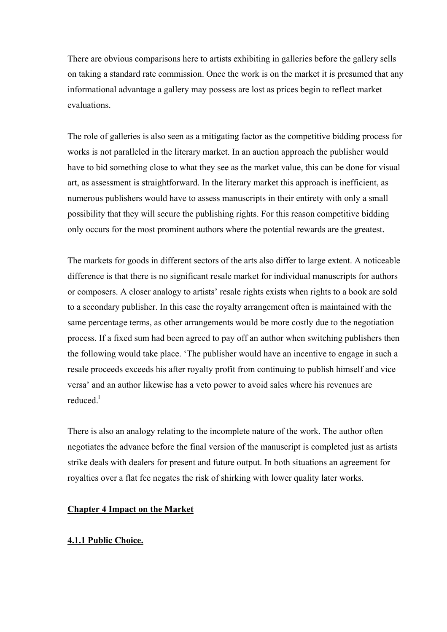There are obvious comparisons here to artists exhibiting in galleries before the gallery sells on taking a standard rate commission. Once the work is on the market it is presumed that any informational advantage a gallery may possess are lost as prices begin to reflect market evaluations.

The role of galleries is also seen as a mitigating factor as the competitive bidding process for works is not paralleled in the literary market. In an auction approach the publisher would have to bid something close to what they see as the market value, this can be done for visual art, as assessment is straightforward. In the literary market this approach is inefficient, as numerous publishers would have to assess manuscripts in their entirety with only a small possibility that they will secure the publishing rights. For this reason competitive bidding only occurs for the most prominent authors where the potential rewards are the greatest.

The markets for goods in different sectors of the arts also differ to large extent. A noticeable difference is that there is no significant resale market for individual manuscripts for authors or composers. A closer analogy to artists' resale rights exists when rights to a book are sold to a secondary publisher. In this case the royalty arrangement often is maintained with the same percentage terms, as other arrangements would be more costly due to the negotiation process. If a fixed sum had been agreed to pay off an author when switching publishers then the following would take place. 'The publisher would have an incentive to engage in such a resale proceeds exceeds his after royalty profit from continuing to publish himself and vice versa' and an author likewise has a veto power to avoid sales where his revenues are reduced $<sup>1</sup>$ </sup>

There is also an analogy relating to the incomplete nature of the work. The author often negotiates the advance before the final version of the manuscript is completed just as artists strike deals with dealers for present and future output. In both situations an agreement for royalties over a flat fee negates the risk of shirking with lower quality later works.

# **Chapter 4 Impact on the Market**

# **4.1.1 Public Choice.**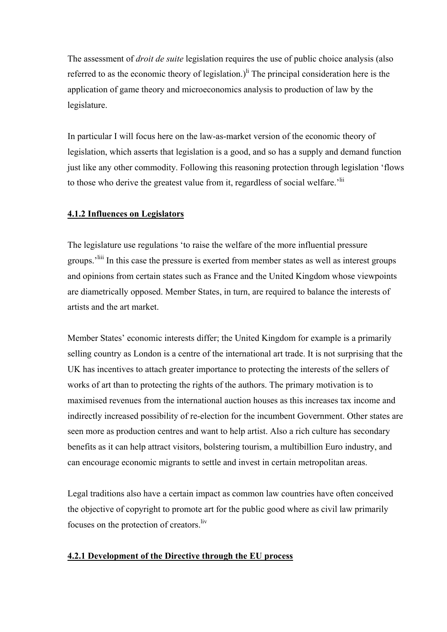The assessment of *droit de suite* legislation requires the use of public choice analysis (also referred to as the economic theory of legislation.)<sup>li</sup> The principal consideration here is the application of game theory and microeconomics analysis to production of law by the legislature.

In particular I will focus here on the law-as-market version of the economic theory of legislation, which asserts that legislation is a good, and so has a supply and demand function just like any other commodity. Following this reasoning protection through legislation 'flows to those who derive the greatest value from it, regardless of social welfare.<sup>'lii</sup>

# **4.1.2 Influences on Legislators**

The legislature use regulations 'to raise the welfare of the more influential pressure groups.'[liii](#page-39-30) In this case the pressure is exerted from member states as well as interest groups and opinions from certain states such as France and the United Kingdom whose viewpoints are diametrically opposed. Member States, in turn, are required to balance the interests of artists and the art market.

Member States' economic interests differ; the United Kingdom for example is a primarily selling country as London is a centre of the international art trade. It is not surprising that the UK has incentives to attach greater importance to protecting the interests of the sellers of works of art than to protecting the rights of the authors. The primary motivation is to maximised revenues from the international auction houses as this increases tax income and indirectly increased possibility of re-election for the incumbent Government. Other states are seen more as production centres and want to help artist. Also a rich culture has secondary benefits as it can help attract visitors, bolstering tourism, a multibillion Euro industry, and can encourage economic migrants to settle and invest in certain metropolitan areas.

Legal traditions also have a certain impact as common law countries have often conceived the objective of copyright to promote art for the public good where as civil law primarily focuses on the protection of creators.<sup>liv</sup>

# **4.2.1 Development of the Directive through the EU process**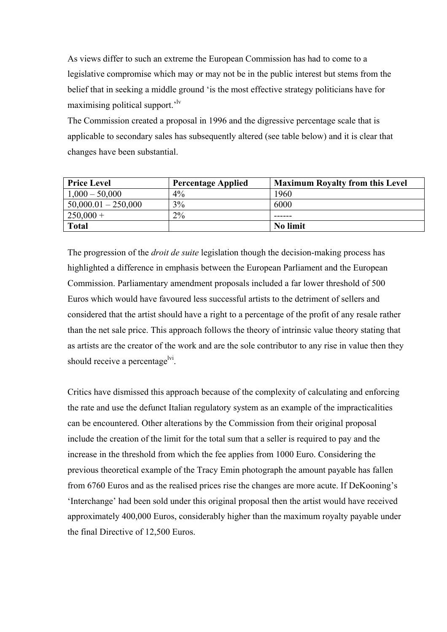As views differ to such an extreme the European Commission has had to come to a legislative compromise which may or may not be in the public interest but stems from the belief that in seeking a middle ground 'is the most effective strategy politicians have for maximising political support.'[lv](#page-39-23) 

The Commission created a proposal in 1996 and the digressive percentage scale that is applicable to secondary sales has subsequently altered (see table below) and it is clear that changes have been substantial.

| <b>Price Level</b>    | <b>Percentage Applied</b> | <b>Maximum Royalty from this Level</b> |
|-----------------------|---------------------------|----------------------------------------|
| $1,000 - 50,000$      | 4%                        | 1960                                   |
| $50,000.01 - 250,000$ | 3%                        | 6000                                   |
| $250,000+$            | $2\%$                     | ------                                 |
| <b>Total</b>          |                           | No limit                               |

The progression of the *droit de suite* legislation though the decision-making process has highlighted a difference in emphasis between the European Parliament and the European Commission. Parliamentary amendment proposals included a far lower threshold of 500 Euros which would have favoured less successful artists to the detriment of sellers and considered that the artist should have a right to a percentage of the profit of any resale rather than the net sale price. This approach follows the theory of intrinsic value theory stating that as artists are the creator of the work and are the sole contributor to any rise in value then they should receive a percentage<sup>lvi</sup>.

Critics have dismissed this approach because of the complexity of calculating and enforcing the rate and use the defunct Italian regulatory system as an example of the impracticalities can be encountered. Other alterations by the Commission from their original proposal include the creation of the limit for the total sum that a seller is required to pay and the increase in the threshold from which the fee applies from 1000 Euro. Considering the previous theoretical example of the Tracy Emin photograph the amount payable has fallen from 6760 Euros and as the realised prices rise the changes are more acute. If DeKooning's 'Interchange' had been sold under this original proposal then the artist would have received approximately 400,000 Euros, considerably higher than the maximum royalty payable under the final Directive of 12,500 Euros.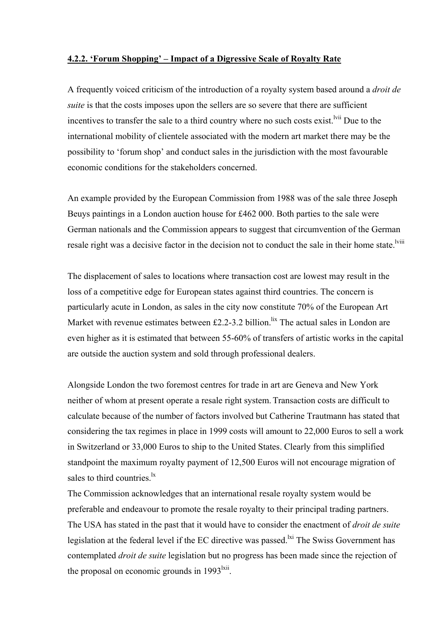# **4.2.2. 'Forum Shopping' – Impact of a Digressive Scale of Royalty Rate**

A frequently voiced criticism of the introduction of a royalty system based around a *droit de suite* is that the costs imposes upon the sellers are so severe that there are sufficient incentives to transfer the sale to a third country where no such costs exist.<sup>Ivii</sup> Due to the international mobility of clientele associated with the modern art market there may be the possibility to 'forum shop' and conduct sales in the jurisdiction with the most favourable economic conditions for the stakeholders concerned.

An example provided by the European Commission from 1988 was of the sale three Joseph Beuys paintings in a London auction house for £462 000. Both parties to the sale were German nationals and the Commission appears to suggest that circumvention of the German resale right was a decisive factor in the decision not to conduct the sale in their home state.<sup>lviii</sup>

The displacement of sales to locations where transaction cost are lowest may result in the loss of a competitive edge for European states against third countries. The concern is particularly acute in London, as sales in the city now constitute 70% of the European Art Market with revenue estimates between  $£2.2-3.2$  billion.<sup>lix</sup> The actual sales in London are even higher as it is estimated that between 55-60% of transfers of artistic works in the capital are outside the auction system and sold through professional dealers.

Alongside London the two foremost centres for trade in art are Geneva and New York neither of whom at present operate a resale right system. Transaction costs are difficult to calculate because of the number of factors involved but Catherine Trautmann has stated that considering the tax regimes in place in 1999 costs will amount to 22,000 Euros to sell a work in Switzerland or 33,000 Euros to ship to the United States. Clearly from this simplified standpoint the maximum royalty payment of 12,500 Euros will not encourage migration of sales to third countries.<sup>1x</sup>

The Commission acknowledges that an international resale royalty system would be preferable and endeavour to promote the resale royalty to their principal trading partners. The USA has stated in the past that it would have to consider the enactment of *droit de suite* legislation at the federal level if the EC directive was passed.<sup>1xi</sup> The Swiss Government has contemplated *droit de suite* legislation but no progress has been made since the rejection of the proposal on economic grounds in  $1993<sup>lxi</sup>$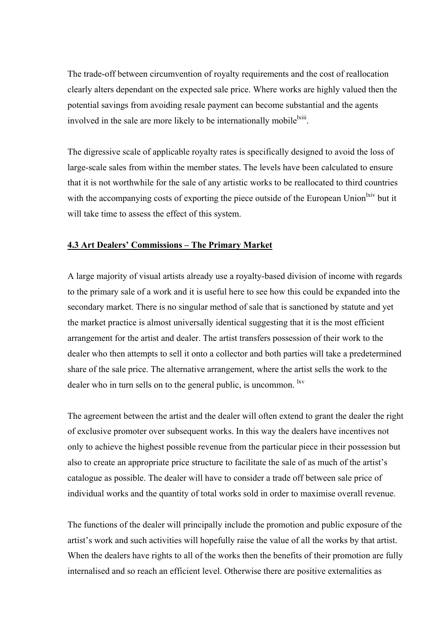The trade-off between circumvention of royalty requirements and the cost of reallocation clearly alters dependant on the expected sale price. Where works are highly valued then the potential savings from avoiding resale payment can become substantial and the agents involved in the sale are more likely to be internationally mobile<sup>lxiii</sup>.

The digressive scale of applicable royalty rates is specifically designed to avoid the loss of large-scale sales from within the member states. The levels have been calculated to ensure that it is not worthwhile for the sale of any artistic works to be reallocated to third countries with the accompanying costs of exporting the piece outside of the European Union<sup>lxiv</sup> but it will take time to assess the effect of this system.

# **4.3 Art Dealers' Commissions – The Primary Market**

A large majority of visual artists already use a royalty-based division of income with regards to the primary sale of a work and it is useful here to see how this could be expanded into the secondary market. There is no singular method of sale that is sanctioned by statute and yet the market practice is almost universally identical suggesting that it is the most efficient arrangement for the artist and dealer. The artist transfers possession of their work to the dealer who then attempts to sell it onto a collector and both parties will take a predetermined share of the sale price. The alternative arrangement, where the artist sells the work to the dealer who in turn sells on to the general public, is uncommon. <sup>[lxv](#page-39-1)</sup>

The agreement between the artist and the dealer will often extend to grant the dealer the right of exclusive promoter over subsequent works. In this way the dealers have incentives not only to achieve the highest possible revenue from the particular piece in their possession but also to create an appropriate price structure to facilitate the sale of as much of the artist's catalogue as possible. The dealer will have to consider a trade off between sale price of individual works and the quantity of total works sold in order to maximise overall revenue.

The functions of the dealer will principally include the promotion and public exposure of the artist's work and such activities will hopefully raise the value of all the works by that artist. When the dealers have rights to all of the works then the benefits of their promotion are fully internalised and so reach an efficient level. Otherwise there are positive externalities as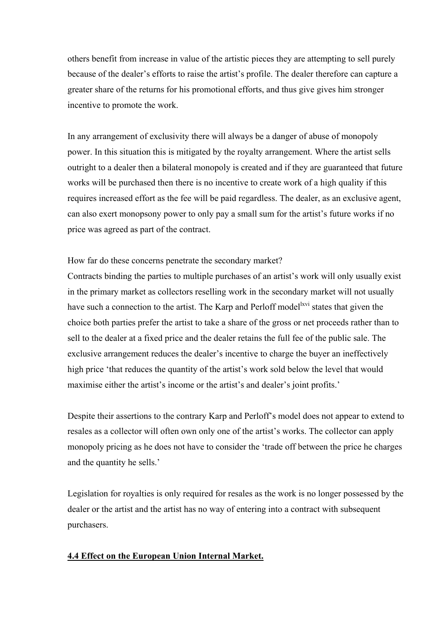others benefit from increase in value of the artistic pieces they are attempting to sell purely because of the dealer's efforts to raise the artist's profile. The dealer therefore can capture a greater share of the returns for his promotional efforts, and thus give gives him stronger incentive to promote the work.

In any arrangement of exclusivity there will always be a danger of abuse of monopoly power. In this situation this is mitigated by the royalty arrangement. Where the artist sells outright to a dealer then a bilateral monopoly is created and if they are guaranteed that future works will be purchased then there is no incentive to create work of a high quality if this requires increased effort as the fee will be paid regardless. The dealer, as an exclusive agent, can also exert monopsony power to only pay a small sum for the artist's future works if no price was agreed as part of the contract.

# How far do these concerns penetrate the secondary market?

Contracts binding the parties to multiple purchases of an artist's work will only usually exist in the primary market as collectors reselling work in the secondary market will not usually have such a connection to the artist. The Karp and Perloff model<sup>lxvi</sup> states that given the choice both parties prefer the artist to take a share of the gross or net proceeds rather than to sell to the dealer at a fixed price and the dealer retains the full fee of the public sale. The exclusive arrangement reduces the dealer's incentive to charge the buyer an ineffectively high price 'that reduces the quantity of the artist's work sold below the level that would maximise either the artist's income or the artist's and dealer's joint profits.'

Despite their assertions to the contrary Karp and Perloff's model does not appear to extend to resales as a collector will often own only one of the artist's works. The collector can apply monopoly pricing as he does not have to consider the 'trade off between the price he charges and the quantity he sells.'

Legislation for royalties is only required for resales as the work is no longer possessed by the dealer or the artist and the artist has no way of entering into a contract with subsequent purchasers.

#### **4.4 Effect on the European Union Internal Market.**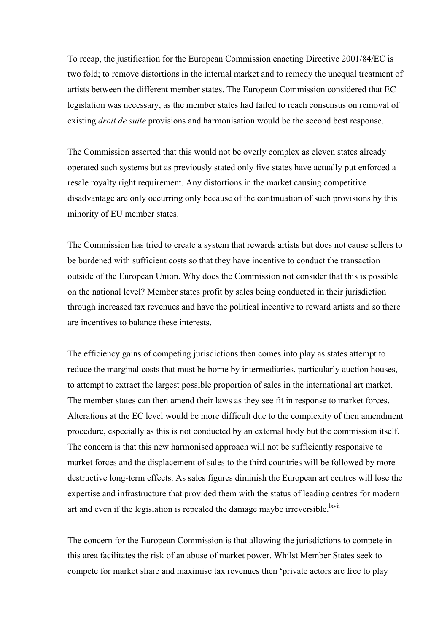To recap, the justification for the European Commission enacting Directive 2001/84/EC is two fold; to remove distortions in the internal market and to remedy the unequal treatment of artists between the different member states. The European Commission considered that EC legislation was necessary, as the member states had failed to reach consensus on removal of existing *droit de suite* provisions and harmonisation would be the second best response.

The Commission asserted that this would not be overly complex as eleven states already operated such systems but as previously stated only five states have actually put enforced a resale royalty right requirement. Any distortions in the market causing competitive disadvantage are only occurring only because of the continuation of such provisions by this minority of EU member states.

The Commission has tried to create a system that rewards artists but does not cause sellers to be burdened with sufficient costs so that they have incentive to conduct the transaction outside of the European Union. Why does the Commission not consider that this is possible on the national level? Member states profit by sales being conducted in their jurisdiction through increased tax revenues and have the political incentive to reward artists and so there are incentives to balance these interests.

The efficiency gains of competing jurisdictions then comes into play as states attempt to reduce the marginal costs that must be borne by intermediaries, particularly auction houses, to attempt to extract the largest possible proportion of sales in the international art market. The member states can then amend their laws as they see fit in response to market forces. Alterations at the EC level would be more difficult due to the complexity of then amendment procedure, especially as this is not conducted by an external body but the commission itself. The concern is that this new harmonised approach will not be sufficiently responsive to market forces and the displacement of sales to the third countries will be followed by more destructive long-term effects. As sales figures diminish the European art centres will lose the expertise and infrastructure that provided them with the status of leading centres for modern art and even if the legislation is repealed the damage maybe irreversible.<sup>[lxvii](#page-39-29)</sup>

The concern for the European Commission is that allowing the jurisdictions to compete in this area facilitates the risk of an abuse of market power. Whilst Member States seek to compete for market share and maximise tax revenues then 'private actors are free to play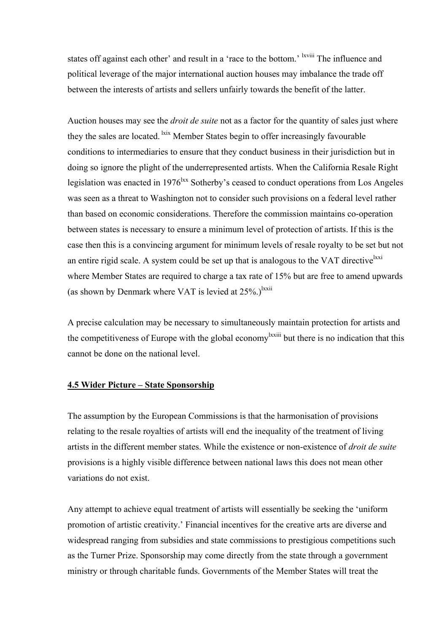states off against each other' and result in a 'race to the bottom.' <sup>Ixviii</sup> The influence and political leverage of the major international auction houses may imbalance the trade off between the interests of artists and sellers unfairly towards the benefit of the latter.

Auction houses may see the *droit de suite* not as a factor for the quantity of sales just where they the sales are located. <sup>Ixix</sup> Member States begin to offer increasingly favourable conditions to intermediaries to ensure that they conduct business in their jurisdiction but in doing so ignore the plight of the underrepresented artists. When the California Resale Right legislation was enacted in  $1976<sup>hxx</sup>$  Sotherby's ceased to conduct operations from Los Angeles was seen as a threat to Washington not to consider such provisions on a federal level rather than based on economic considerations. Therefore the commission maintains co-operation between states is necessary to ensure a minimum level of protection of artists. If this is the case then this is a convincing argument for minimum levels of resale royalty to be set but not an entire rigid scale. A system could be set up that is analogous to the VAT directive  $\frac{lxxi}{l}$  $\frac{lxxi}{l}$  $\frac{lxxi}{l}$ where Member States are required to charge a tax rate of 15% but are free to amend upwards (as shown by Denmark where VAT is levied at  $25\%$ .)<sup>lxxii</sup>

A precise calculation may be necessary to simultaneously maintain protection for artists and the competitiveness of Europe with the global economy<sup>lxxiii</sup> but there is no indication that this cannot be done on the national level.

# **4.5 Wider Picture – State Sponsorship**

The assumption by the European Commissions is that the harmonisation of provisions relating to the resale royalties of artists will end the inequality of the treatment of living artists in the different member states. While the existence or non-existence of *droit de suite* provisions is a highly visible difference between national laws this does not mean other variations do not exist.

Any attempt to achieve equal treatment of artists will essentially be seeking the 'uniform promotion of artistic creativity.' Financial incentives for the creative arts are diverse and widespread ranging from subsidies and state commissions to prestigious competitions such as the Turner Prize. Sponsorship may come directly from the state through a government ministry or through charitable funds. Governments of the Member States will treat the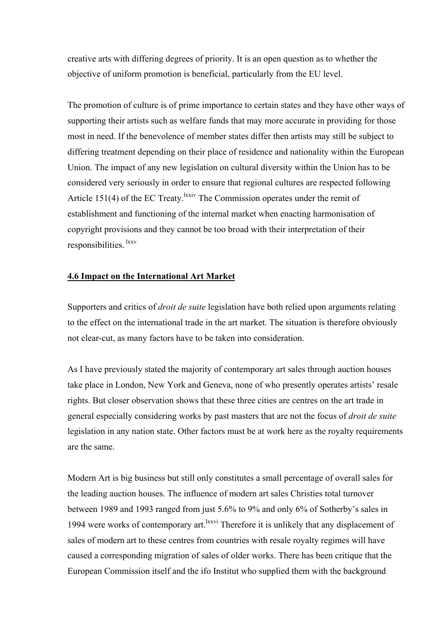creative arts with differing degrees of priority. It is an open question as to whether the objective of uniform promotion is beneficial, particularly from the EU level.

The promotion of culture is of prime importance to certain states and they have other ways of supporting their artists such as welfare funds that may more accurate in providing for those most in need. If the benevolence of member states differ then artists may still be subject to differing treatment depending on their place of residence and nationality within the European Union. The impact of any new legislation on cultural diversity within the Union has to be considered very seriously in order to ensure that regional cultures are respected following Article 151(4) of the EC Treaty.<sup>lxxiv</sup> The Commission operates under the remit of establishment and functioning of the internal market when enacting harmonisation of copyright provisions and they cannot be too broad with their interpretation of their responsibilities. [lxxv](#page-39-30)

# **4.6 Impact on the International Art Market**

Supporters and critics of *droit de suite* legislation have both relied upon arguments relating to the effect on the international trade in the art market. The situation is therefore obviously not clear-cut, as many factors have to be taken into consideration.

As I have previously stated the majority of contemporary art sales through auction houses take place in London, New York and Geneva, none of who presently operates artists' resale rights. But closer observation shows that these three cities are centres on the art trade in general especially considering works by past masters that are not the focus of *droit de suite* legislation in any nation state. Other factors must be at work here as the royalty requirements are the same.

Modern Art is big business but still only constitutes a small percentage of overall sales for the leading auction houses. The influence of modern art sales Christies total turnover between 1989 and 1993 ranged from just 5.6% to 9% and only 6% of Sotherby's sales in 1994 were works of contemporary art.<sup>lxxvi</sup> Therefore it is unlikely that any displacement of sales of modern art to these centres from countries with resale royalty regimes will have caused a corresponding migration of sales of older works. There has been critique that the European Commission itself and the ifo Institut who supplied them with the background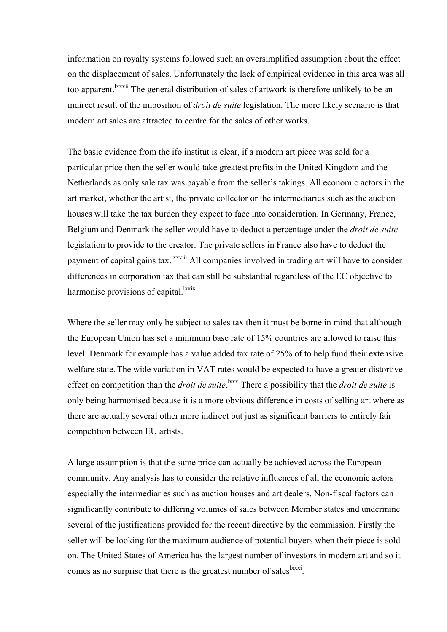information on royalty systems followed such an oversimplified assumption about the effect on the displacement of sales. Unfortunately the lack of empirical evidence in this area was all too apparent.<sup>1xxvii</sup> The general distribution of sales of artwork is therefore unlikely to be an indirect result of the imposition of *droit de suite* legislation. The more likely scenario is that modern art sales are attracted to centre for the sales of other works.

The basic evidence from the ifo institut is clear, if a modern art piece was sold for a particular price then the seller would take greatest profits in the United Kingdom and the Netherlands as only sale tax was payable from the seller's takings. All economic actors in the art market, whether the artist, the private collector or the intermediaries such as the auction houses will take the tax burden they expect to face into consideration. In Germany, France, Belgium and Denmark the seller would have to deduct a percentage under the *droit de suite* legislation to provide to the creator. The private sellers in France also have to deduct the payment of capital gains tax.<sup>1xxviii</sup> All companies involved in trading art will have to consider differences in corporation tax that can still be substantial regardless of the EC objective to harmonise provisions of capital. $\frac{lxxix}{l}$  $\frac{lxxix}{l}$  $\frac{lxxix}{l}$ 

Where the seller may only be subject to sales tax then it must be borne in mind that although the European Union has set a minimum base rate of 15% countries are allowed to raise this level. Denmark for example has a value added tax rate of 25% of to help fund their extensive welfare state. The wide variation in VAT rates would be expected to have a greater distortive effect on competition than the *droit de suite*.<sup>1xxx</sup> There a possibility that the *droit de suite* is only being harmonised because it is a more obvious difference in costs of selling art where as there are actually several other more indirect but just as significant barriers to entirely fair competition between EU artists.

A large assumption is that the same price can actually be achieved across the European community. Any analysis has to consider the relative influences of all the economic actors especially the intermediaries such as auction houses and art dealers. Non-fiscal factors can significantly contribute to differing volumes of sales between Member states and undermine several of the justifications provided for the recent directive by the commission. Firstly the seller will be looking for the maximum audience of potential buyers when their piece is sold on. The United States of America has the largest number of investors in modern art and so it comes as no surprise that there is the greatest number of sales <sup>lxxxi</sup>.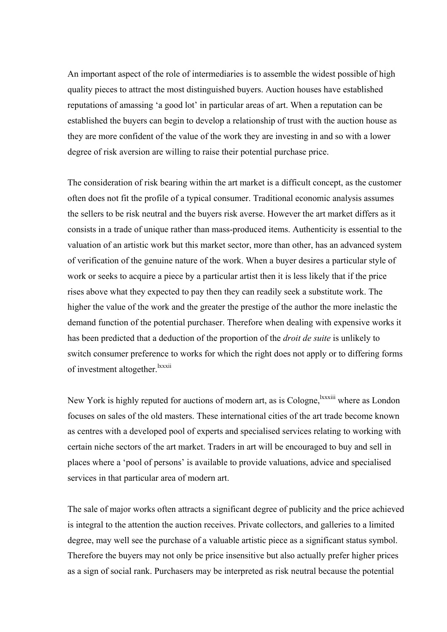An important aspect of the role of intermediaries is to assemble the widest possible of high quality pieces to attract the most distinguished buyers. Auction houses have established reputations of amassing 'a good lot' in particular areas of art. When a reputation can be established the buyers can begin to develop a relationship of trust with the auction house as they are more confident of the value of the work they are investing in and so with a lower degree of risk aversion are willing to raise their potential purchase price.

The consideration of risk bearing within the art market is a difficult concept, as the customer often does not fit the profile of a typical consumer. Traditional economic analysis assumes the sellers to be risk neutral and the buyers risk averse. However the art market differs as it consists in a trade of unique rather than mass-produced items. Authenticity is essential to the valuation of an artistic work but this market sector, more than other, has an advanced system of verification of the genuine nature of the work. When a buyer desires a particular style of work or seeks to acquire a piece by a particular artist then it is less likely that if the price rises above what they expected to pay then they can readily seek a substitute work. The higher the value of the work and the greater the prestige of the author the more inelastic the demand function of the potential purchaser. Therefore when dealing with expensive works it has been predicted that a deduction of the proportion of the *droit de suite* is unlikely to switch consumer preference to works for which the right does not apply or to differing forms of investment altogether.<sup>[lxxxii](#page-39-38)</sup>

New York is highly reputed for auctions of modern art, as is Cologne, xxxiii where as London focuses on sales of the old masters. These international cities of the art trade become known as centres with a developed pool of experts and specialised services relating to working with certain niche sectors of the art market. Traders in art will be encouraged to buy and sell in places where a 'pool of persons' is available to provide valuations, advice and specialised services in that particular area of modern art.

The sale of major works often attracts a significant degree of publicity and the price achieved is integral to the attention the auction receives. Private collectors, and galleries to a limited degree, may well see the purchase of a valuable artistic piece as a significant status symbol. Therefore the buyers may not only be price insensitive but also actually prefer higher prices as a sign of social rank. Purchasers may be interpreted as risk neutral because the potential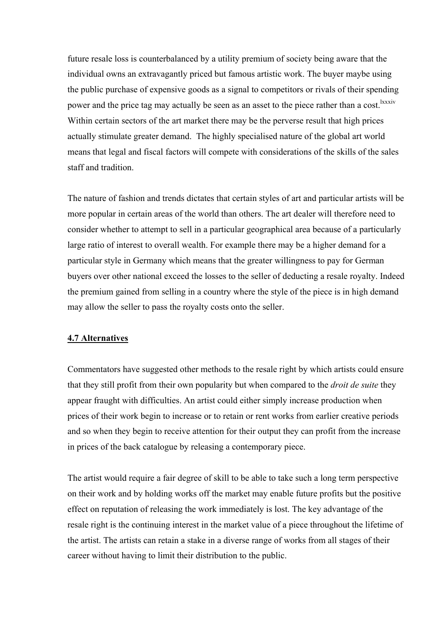future resale loss is counterbalanced by a utility premium of society being aware that the individual owns an extravagantly priced but famous artistic work. The buyer maybe using the public purchase of expensive goods as a signal to competitors or rivals of their spending power and the price tag may actually be seen as an asset to the piece rather than a cost.<sup>1xxxiv</sup> Within certain sectors of the art market there may be the perverse result that high prices actually stimulate greater demand. The highly specialised nature of the global art world means that legal and fiscal factors will compete with considerations of the skills of the sales staff and tradition.

The nature of fashion and trends dictates that certain styles of art and particular artists will be more popular in certain areas of the world than others. The art dealer will therefore need to consider whether to attempt to sell in a particular geographical area because of a particularly large ratio of interest to overall wealth. For example there may be a higher demand for a particular style in Germany which means that the greater willingness to pay for German buyers over other national exceed the losses to the seller of deducting a resale royalty. Indeed the premium gained from selling in a country where the style of the piece is in high demand may allow the seller to pass the royalty costs onto the seller.

# **4.7 Alternatives**

Commentators have suggested other methods to the resale right by which artists could ensure that they still profit from their own popularity but when compared to the *droit de suite* they appear fraught with difficulties. An artist could either simply increase production when prices of their work begin to increase or to retain or rent works from earlier creative periods and so when they begin to receive attention for their output they can profit from the increase in prices of the back catalogue by releasing a contemporary piece.

The artist would require a fair degree of skill to be able to take such a long term perspective on their work and by holding works off the market may enable future profits but the positive effect on reputation of releasing the work immediately is lost. The key advantage of the resale right is the continuing interest in the market value of a piece throughout the lifetime of the artist. The artists can retain a stake in a diverse range of works from all stages of their career without having to limit their distribution to the public.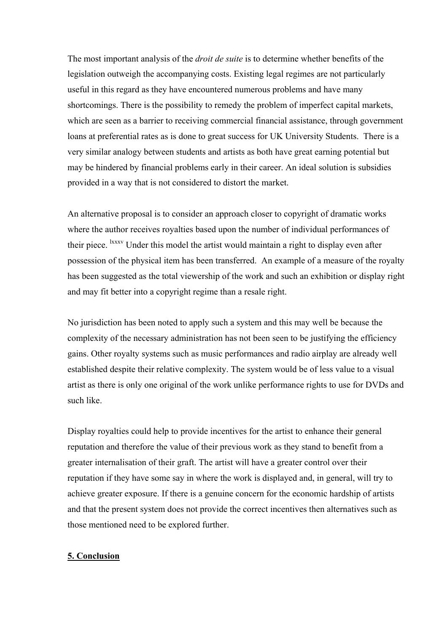The most important analysis of the *droit de suite* is to determine whether benefits of the legislation outweigh the accompanying costs. Existing legal regimes are not particularly useful in this regard as they have encountered numerous problems and have many shortcomings. There is the possibility to remedy the problem of imperfect capital markets, which are seen as a barrier to receiving commercial financial assistance, through government loans at preferential rates as is done to great success for UK University Students. There is a very similar analogy between students and artists as both have great earning potential but may be hindered by financial problems early in their career. An ideal solution is subsidies provided in a way that is not considered to distort the market.

An alternative proposal is to consider an approach closer to copyright of dramatic works where the author receives royalties based upon the number of individual performances of their piece. <sup>lxxxv</sup> Under this model the artist would maintain a right to display even after possession of the physical item has been transferred. An example of a measure of the royalty has been suggested as the total viewership of the work and such an exhibition or display right and may fit better into a copyright regime than a resale right.

No jurisdiction has been noted to apply such a system and this may well be because the complexity of the necessary administration has not been seen to be justifying the efficiency gains. Other royalty systems such as music performances and radio airplay are already well established despite their relative complexity. The system would be of less value to a visual artist as there is only one original of the work unlike performance rights to use for DVDs and such like.

Display royalties could help to provide incentives for the artist to enhance their general reputation and therefore the value of their previous work as they stand to benefit from a greater internalisation of their graft. The artist will have a greater control over their reputation if they have some say in where the work is displayed and, in general, will try to achieve greater exposure. If there is a genuine concern for the economic hardship of artists and that the present system does not provide the correct incentives then alternatives such as those mentioned need to be explored further.

# **5. Conclusion**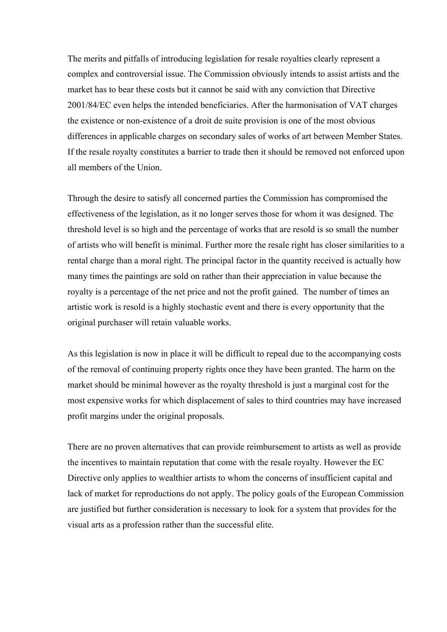The merits and pitfalls of introducing legislation for resale royalties clearly represent a complex and controversial issue. The Commission obviously intends to assist artists and the market has to bear these costs but it cannot be said with any conviction that Directive 2001/84/EC even helps the intended beneficiaries. After the harmonisation of VAT charges the existence or non-existence of a droit de suite provision is one of the most obvious differences in applicable charges on secondary sales of works of art between Member States. If the resale royalty constitutes a barrier to trade then it should be removed not enforced upon all members of the Union.

Through the desire to satisfy all concerned parties the Commission has compromised the effectiveness of the legislation, as it no longer serves those for whom it was designed. The threshold level is so high and the percentage of works that are resold is so small the number of artists who will benefit is minimal. Further more the resale right has closer similarities to a rental charge than a moral right. The principal factor in the quantity received is actually how many times the paintings are sold on rather than their appreciation in value because the royalty is a percentage of the net price and not the profit gained. The number of times an artistic work is resold is a highly stochastic event and there is every opportunity that the original purchaser will retain valuable works.

As this legislation is now in place it will be difficult to repeal due to the accompanying costs of the removal of continuing property rights once they have been granted. The harm on the market should be minimal however as the royalty threshold is just a marginal cost for the most expensive works for which displacement of sales to third countries may have increased profit margins under the original proposals.

There are no proven alternatives that can provide reimbursement to artists as well as provide the incentives to maintain reputation that come with the resale royalty. However the EC Directive only applies to wealthier artists to whom the concerns of insufficient capital and lack of market for reproductions do not apply. The policy goals of the European Commission are justified but further consideration is necessary to look for a system that provides for the visual arts as a profession rather than the successful elite.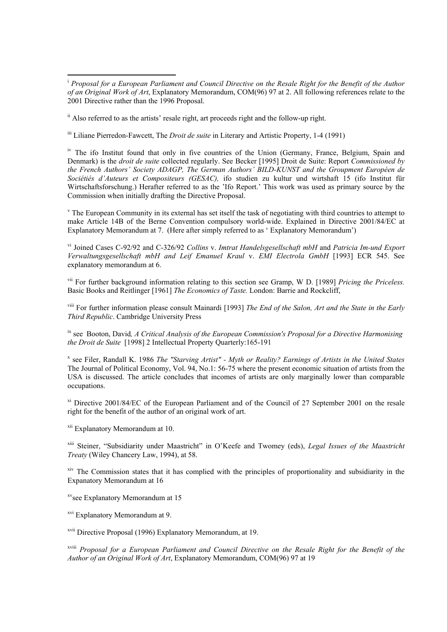ii Also referred to as the artists' resale right, art proceeds right and the follow-up right.

iii Liliane Pierredon-Fawcett, The *Droit de suite* in Literary and Artistic Property, 1-4 (1991)

<sup>iv</sup> The ifo Institut found that only in five countries of the Union (Germany, France, Belgium, Spain and Denmark) is the *droit de suite* collected regularly. See Becker [1995] Droit de Suite: Report *Commissioned by the French Authors' Society ADAGP, The German Authors' BILD-KUNST and the Groupment Européen de Sociétiés d'Auteurs et Compositeurs (GESAC),* ifo studien zu kultur und wirtshaft 15 (ifo Institut für Wirtschaftsforschung.) Herafter referred to as the 'Ifo Report.' This work was used as primary source by the Commission when initially drafting the Directive Proposal.

<sup>v</sup> The European Community in its external has set itself the task of negotiating with third countries to attempt to make Article 14B of the Berne Convention compulsory world-wide. Explained in Directive 2001/84/EC at Explanatory Memorandum at 7. (Here after simply referred to as ' Explanatory Memorandum')

vi Joined Cases C-92/92 and C-326/92 *Collins* v. *Imtrat Handelsgesellschaft mbH* and *Patricia Im-und Export Verwaltungsgesellschaft mbH and Leif Emanuel Kraul* v. *EMI Electrola GmbH* [1993] ECR 545. See explanatory memorandum at 6.

vii For further background information relating to this section see Gramp, W D. [1989] *Pricing the Priceless.*  Basic Books and Reitlinger [1961] *The Economics of Taste.* London: Barrie and Rockcliff,

viii For further information please consult Mainardi [1993] *The End of the Salon, Art and the State in the Early Third Republic*. Cambridge University Press

ix see Booton, David*, A Critical Analysis of the European Commission's Proposal for a Directive Harmonising the Droit de Suite* [1998] 2 Intellectual Property Quarterly:165-191

x see Filer, Randall K. 1986 *The "Starving Artist" - Myth or Reality? Earnings of Artists in the United States* The Journal of Political Economy, Vol. 94, No.1: 56-75 where the present economic situation of artists from the USA is discussed. The article concludes that incomes of artists are only marginally lower than comparable occupations.

<sup>xi</sup> Directive 2001/84/EC of the European Parliament and of the Council of 27 September 2001 on the resale right for the benefit of the author of an original work of art.

xii Explanatory Memorandum at 10.

 $\overline{a}$ 

xiii Steiner, "Subsidiarity under Maastricht" in O'Keefe and Twomey (eds), *Legal Issues of the Maastricht Treaty* (Wiley Chancery Law, 1994), at 58.

xiv The Commission states that it has complied with the principles of proportionality and subsidiarity in the Expanatory Memorandum at 16

<sup>xv</sup>see Explanatory Memorandum at 15

xvi Explanatory Memorandum at 9.

xvii Directive Proposal (1996) Explanatory Memorandum, at 19.

xviii *Proposal for a European Parliament and Council Directive on the Resale Right for the Benefit of the Author of an Original Work of Art*, Explanatory Memorandum, COM(96) 97 at 19

<sup>i</sup> *Proposal for a European Parliament and Council Directive on the Resale Right for the Benefit of the Author of an Original Work of Art*, Explanatory Memorandum, COM(96) 97 at 2. All following references relate to the 2001 Directive rather than the 1996 Proposal.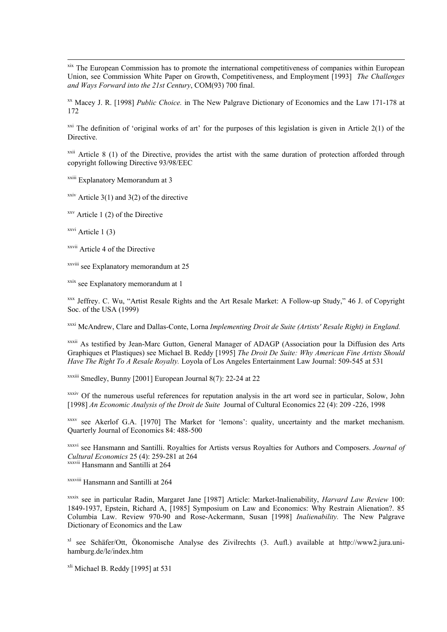xix The European Commission has to promote the international competitiveness of companies within European Union, see Commission White Paper on Growth, Competitiveness, and Employment [1993] *The Challenges and Ways Forward into the 21st Century*, COM(93) 700 final.

xx Macey J. R. [1998] *Public Choice.* in The New Palgrave Dictionary of Economics and the Law 171-178 at 172

<sup>xxi</sup> The definition of 'original works of art' for the purposes of this legislation is given in Article 2(1) of the Directive.

 $x$ <sup>xxii</sup> Article 8 (1) of the Directive, provides the artist with the same duration of protection afforded through copyright following Directive 93/98/EEC

xxiii Explanatory Memorandum at 3

<sup>xxiv</sup> Article 3(1) and 3(2) of the directive

 $xxy$  Article 1 (2) of the Directive

 $x$ <sup>xxvi</sup> Article 1 (3)

1

xxvii Article 4 of the Directive

xxviii see Explanatory memorandum at 25

<sup>xxix</sup> see Explanatory memorandum at 1

xxx Jeffrey. C. Wu, "Artist Resale Rights and the Art Resale Market: A Follow-up Study," 46 J. of Copyright Soc. of the USA (1999)

xxxi McAndrew, Clare and Dallas-Conte, Lorna *Implementing Droit de Suite (Artists' Resale Right) in England.* 

xxxii As testified by Jean-Marc Gutton, General Manager of ADAGP (Association pour la Diffusion des Arts Graphiques et Plastiques) see Michael B. Reddy [1995] *The Droit De Suite: Why American Fine Artists Should Have The Right To A Resale Royalty.* Loyola of Los Angeles Entertainment Law Journal: 509-545 at 531

xxxiii Smedley, Bunny [2001] European Journal 8(7): 22-24 at 22

xxxiv Of the numerous useful references for reputation analysis in the art word see in particular, Solow, John [1998] *An Economic Analysis of the Droit de Suite* Journal of Cultural Economics 22 (4): 209 -226, 1998

xxxv see Akerlof G.A. [1970] The Market for 'lemons': quality, uncertainty and the market mechanism. Quarterly Journal of Economics 84: 488-500

xxxvi see Hansmann and Santilli. Royalties for Artists versus Royalties for Authors and Composers. *Journal of Cultural Economics* 25 (4): 259-281 at 264 xxxvii Hansmann and Santilli at 264

xxxviii Hansmann and Santilli at 264

xxxix see in particular Radin, Margaret Jane [1987] Article: Market-Inalienability, *Harvard Law Review* 100: 1849-1937, Epstein, Richard A, [1985] Symposium on Law and Economics: Why Restrain Alienation?. 85 Columbia Law. Review 970-90 and Rose-Ackermann, Susan [1998] *Inalienability.* The New Palgrave Dictionary of Economics and the Law

xl see Schäfer/Ott, Ökonomische Analyse des Zivilrechts (3. Aufl.) available at http://www2.jura.unihamburg.de/le/index.htm

 $x<sup>li</sup>$  Michael B. Reddy [1995] at 531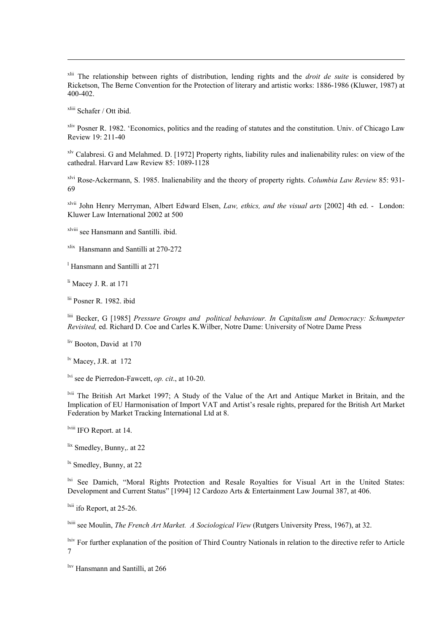xlii The relationship between rights of distribution, lending rights and the *droit de suite* is considered by Ricketson, The Berne Convention for the Protection of literary and artistic works: 1886-1986 (Kluwer, 1987) at 400-402.

xliii Schafer / Ott ibid.

1

xliv Posner R. 1982. 'Economics, politics and the reading of statutes and the constitution. Univ. of Chicago Law Review 19: 211-40

xlv Calabresi. G and Melahmed. D. [1972] Property rights, liability rules and inalienability rules: on view of the cathedral. Harvard Law Review 85: 1089-1128

xlvi Rose-Ackermann, S. 1985. Inalienability and the theory of property rights. *Columbia Law Review* 85: 931- 69

xlvii John Henry Merryman, Albert Edward Elsen, *Law, ethics, and the visual arts* [2002] 4th ed. - London: Kluwer Law International 2002 at 500

xlviii see Hansmann and Santilli. ibid.

xlix Hansmann and Santilli at 270-272

l Hansmann and Santilli at 271

li Macey J. R. at 171

lii Posner R. 1982. ibid

liii Becker, G [1985] *Pressure Groups and political behaviour. In Capitalism and Democracy: Schumpeter Revisited,* ed. Richard D. Coe and Carles K.Wilber, Notre Dame: University of Notre Dame Press

liv Booton, David at 170

lv Macey, J.R. at 172

lvi see de Pierredon-Fawcett, *op. cit*., at 10-20.

lvii The British Art Market 1997; A Study of the Value of the Art and Antique Market in Britain, and the Implication of EU Harmonisation of Import VAT and Artist's resale rights, prepared for the British Art Market Federation by Market Tracking International Ltd at 8.

lviii IFO Report. at 14.

lix Smedley, Bunny,. at 22

<sup>1x</sup> Smedley, Bunny, at 22

<sup>1xi</sup> See Damich, "Moral Rights Protection and Resale Royalties for Visual Art in the United States: Development and Current Status" [1994] 12 Cardozo Arts & Entertainment Law Journal 387, at 406.

 $\frac{\text{dxii}}{\text{ifo}$  Report, at 25-26.

lxiii see Moulin, *The French Art Market. A Sociological View* (Rutgers University Press, 1967), at 32.

<sup>lxiv</sup> For further explanation of the position of Third Country Nationals in relation to the directive refer to Article 7

lxv Hansmann and Santilli, at 266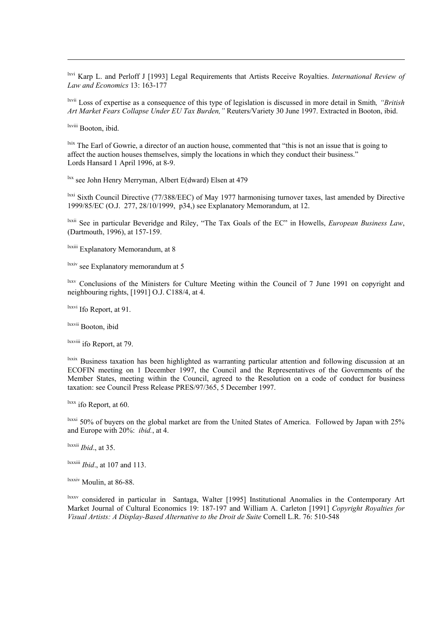lxvi Karp L. and Perloff J [1993] Legal Requirements that Artists Receive Royalties. *International Review of Law and Economics* 13: 163-177

lxvii Loss of expertise as a consequence of this type of legislation is discussed in more detail in Smith*, "British Art Market Fears Collapse Under EU Tax Burden,"* Reuters/Variety 30 June 1997. Extracted in Booton, ibid.

lxviii Booton, ibid.

1

<sup>lxix</sup> The Earl of Gowrie, a director of an auction house, commented that "this is not an issue that is going to affect the auction houses themselves, simply the locations in which they conduct their business." Lords Hansard 1 April 1996, at 8-9.

lxx see John Henry Merryman, Albert E(dward) Elsen at 479

lxxi Sixth Council Directive (77/388/EEC) of May 1977 harmonising turnover taxes, last amended by Directive 1999/85/EC (O.J. 277, 28/10/1999, p34,) see Explanatory Memorandum, at 12.

lxxii See in particular Beveridge and Riley, "The Tax Goals of the EC" in Howells, *European Business Law*, (Dartmouth, 1996), at 157-159.

lxxiii Explanatory Memorandum, at 8

lxxiv see Explanatory memorandum at 5

<sup>lxxv</sup> Conclusions of the Ministers for Culture Meeting within the Council of 7 June 1991 on copyright and neighbouring rights, [1991] O.J. C188/4, at 4.

lxxvi Ifo Report, at 91.

lxxvii Booton, ibid

lxxviii ifo Report, at 79.

lxxix Business taxation has been highlighted as warranting particular attention and following discussion at an ECOFIN meeting on 1 December 1997, the Council and the Representatives of the Governments of the Member States, meeting within the Council, agreed to the Resolution on a code of conduct for business taxation: see Council Press Release PRES/97/365, 5 December 1997.

 $\frac{dx}{dx}$  ifo Report, at 60.

<sup>lxxxi</sup> 50% of buyers on the global market are from the United States of America. Followed by Japan with 25% and Europe with 20%: *ibid.*, at 4.

lxxxii *Ibid*., at 35.

lxxxiii *Ibid*., at 107 and 113.

lxxxiv Moulin, at 86-88.

lxxxv considered in particular in Santaga, Walter [1995] Institutional Anomalies in the Contemporary Art Market Journal of Cultural Economics 19: 187-197 and William A. Carleton [1991] *Copyright Royalties for Visual Artists: A Display-Based Alternative to the Droit de Suite* Cornell L.R. 76: 510-548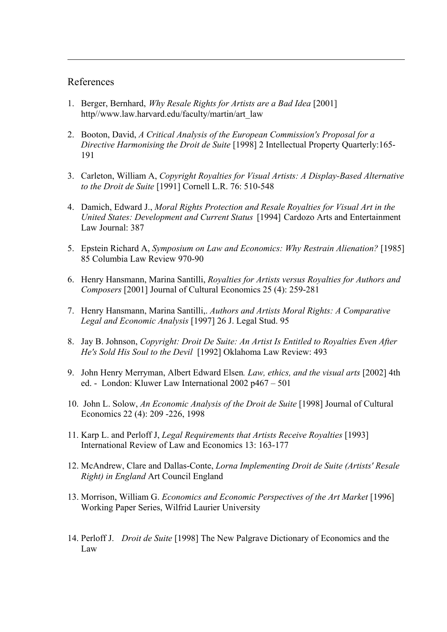# References

1

- 1. Berger, Bernhard, *Why Resale Rights for Artists are a Bad Idea* [2001] http//www.law.harvard.edu/faculty/martin/art\_law
- 2. Booton, David, *A Critical Analysis of the European Commission's Proposal for a Directive Harmonising the Droit de Suite* [1998] 2 Intellectual Property Quarterly:165- 191
- 3. Carleton, William A, *Copyright Royalties for Visual Artists: A Display-Based Alternative to the Droit de Suite* [1991] Cornell L.R. 76: 510-548
- 4. Damich, Edward J., *Moral Rights Protection and Resale Royalties for Visual Art in the United States: Development and Current Status* [1994] Cardozo Arts and Entertainment Law Journal: 387
- 5. Epstein Richard A, *Symposium on Law and Economics: Why Restrain Alienation?* [1985] 85 Columbia Law Review 970-90
- 6. Henry Hansmann, Marina Santilli, *Royalties for Artists versus Royalties for Authors and Composers* [2001] Journal of Cultural Economics 25 (4): 259-281
- 7. Henry Hansmann, Marina Santilli,. *Authors and Artists Moral Rights: A Comparative Legal and Economic Analysis* [1997] 26 J. Legal Stud. 95
- 8. Jay B. Johnson, *Copyright: Droit De Suite: An Artist Is Entitled to Royalties Even After He's Sold His Soul to the Devil* [1992] Oklahoma Law Review: 493
- 9. John Henry Merryman, Albert Edward Elsen*. Law, ethics, and the visual arts* [2002] 4th ed. - London: Kluwer Law International 2002 p467 – 501
- 10. John L. Solow, *An Economic Analysis of the Droit de Suite* [1998] Journal of Cultural Economics 22 (4): 209 -226, 1998
- 11. Karp L. and Perloff J, *Legal Requirements that Artists Receive Royalties* [1993] International Review of Law and Economics 13: 163-177
- 12. McAndrew, Clare and Dallas-Conte, *Lorna Implementing Droit de Suite (Artists' Resale Right) in England* Art Council England
- 13. Morrison, William G. *Economics and Economic Perspectives of the Art Market* [1996] Working Paper Series, Wilfrid Laurier University
- 14. Perloff J. *Droit de Suite* [1998] The New Palgrave Dictionary of Economics and the Law